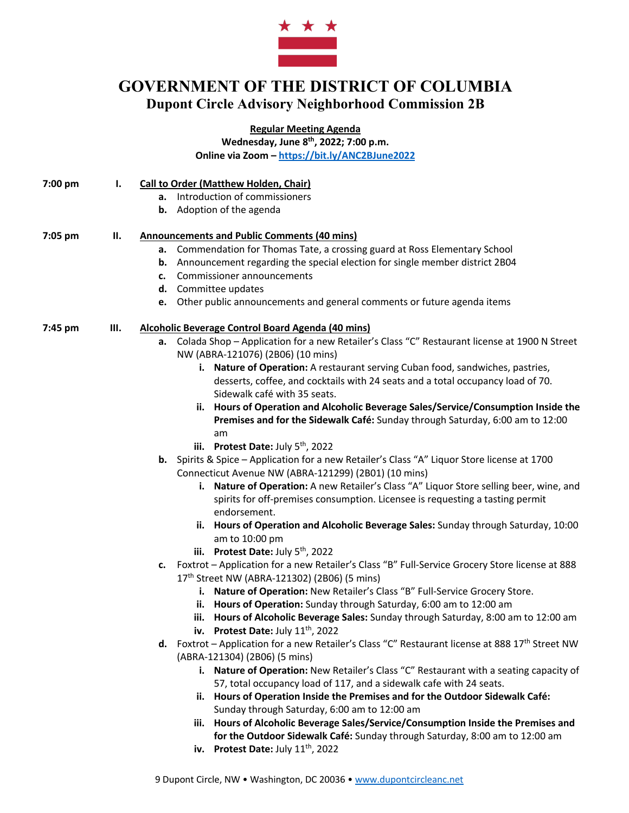

## **GOVERNMENT OF THE DISTRICT OF COLUMBIA Dupont Circle Advisory Neighborhood Commission 2B**

**Regular Meeting Agenda**

**Wednesday, June 8th, 2022; 7:00 p.m. Online via Zoom – https://bit.ly/ANC2BJune2022**

| 7:00 pm | <b>Call to Order (Matthew Holden, Chair)</b> |
|---------|----------------------------------------------|
|         |                                              |

- **a.** Introduction of commissioners
- **b.** Adoption of the agenda

## **7:05 pm II. Announcements and Public Comments (40 mins)**

- **a.** Commendation for Thomas Tate, a crossing guard at Ross Elementary School
- **b.** Announcement regarding the special election for single member district 2B04
- **c.** Commissioner announcements
- **d.** Committee updates
- **e.** Other public announcements and general comments or future agenda items

## **7:45 pm III. Alcoholic Beverage Control Board Agenda (40 mins)**

- **a.** Colada Shop Application for a new Retailer's Class "C" Restaurant license at 1900 N Street NW (ABRA-121076) (2B06) (10 mins)
	- **i. Nature of Operation:** A restaurant serving Cuban food, sandwiches, pastries, desserts, coffee, and cocktails with 24 seats and a total occupancy load of 70. Sidewalk café with 35 seats.
	- **ii. Hours of Operation and Alcoholic Beverage Sales/Service/Consumption Inside the Premises and for the Sidewalk Café:** Sunday through Saturday, 6:00 am to 12:00 am
	- **iii.** Protest Date: July 5<sup>th</sup>, 2022
- **b.** Spirits & Spice Application for a new Retailer's Class "A" Liquor Store license at 1700 Connecticut Avenue NW (ABRA-121299) (2B01) (10 mins)
	- **i. Nature of Operation:** A new Retailer's Class "A" Liquor Store selling beer, wine, and spirits for off-premises consumption. Licensee is requesting a tasting permit endorsement.
	- **ii. Hours of Operation and Alcoholic Beverage Sales:** Sunday through Saturday, 10:00 am to 10:00 pm
	- **iii. Protest Date:** July 5<sup>th</sup>, 2022
- **c.** Foxtrot Application for a new Retailer's Class "B" Full-Service Grocery Store license at 888 17th Street NW (ABRA-121302) (2B06) (5 mins)
	- **i. Nature of Operation:** New Retailer's Class "B" Full-Service Grocery Store.
	- **ii. Hours of Operation:** Sunday through Saturday, 6:00 am to 12:00 am
	- **iii. Hours of Alcoholic Beverage Sales:** Sunday through Saturday, 8:00 am to 12:00 am **iv.** Protest Date: July 11<sup>th</sup>, 2022
- d. Foxtrot Application for a new Retailer's Class "C" Restaurant license at 888 17<sup>th</sup> Street NW (ABRA-121304) (2B06) (5 mins)
	- **i. Nature of Operation:** New Retailer's Class "C" Restaurant with a seating capacity of 57, total occupancy load of 117, and a sidewalk cafe with 24 seats.
	- **ii. Hours of Operation Inside the Premises and for the Outdoor Sidewalk Café:** Sunday through Saturday, 6:00 am to 12:00 am
	- **iii. Hours of Alcoholic Beverage Sales/Service/Consumption Inside the Premises and for the Outdoor Sidewalk Café:** Sunday through Saturday, 8:00 am to 12:00 am
	- **iv. Protest Date:** July 11<sup>th</sup>, 2022